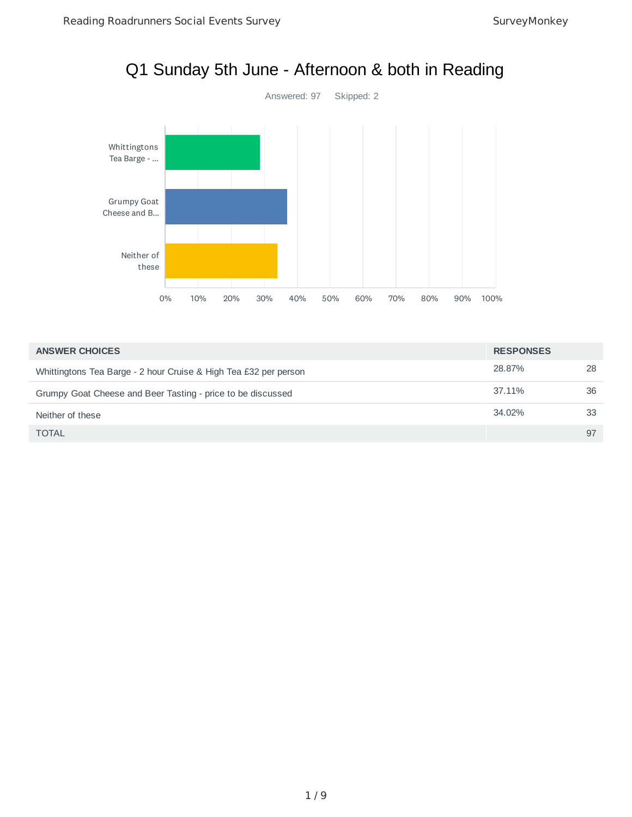

| <b>ANSWER CHOICES</b>                                            | <b>RESPONSES</b> |    |
|------------------------------------------------------------------|------------------|----|
| Whittingtons Tea Barge - 2 hour Cruise & High Tea £32 per person | 28.87%           | 28 |
| Grumpy Goat Cheese and Beer Tasting - price to be discussed      | 37.11%           | 36 |
| Neither of these                                                 | 34.02%           | 33 |
| <b>TOTAL</b>                                                     |                  | 97 |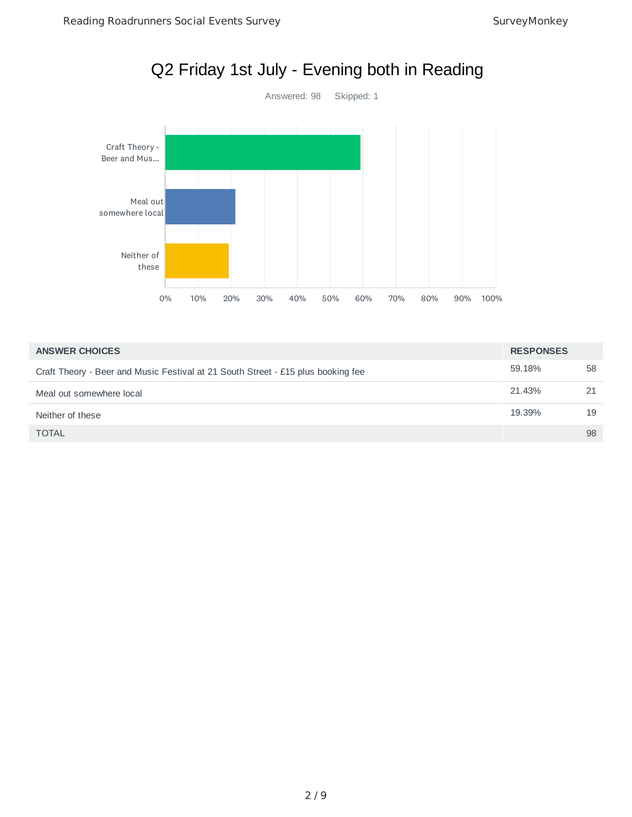

| <b>ANSWER CHOICES</b>                                                            | <b>RESPONSES</b> |    |
|----------------------------------------------------------------------------------|------------------|----|
| Craft Theory - Beer and Music Festival at 21 South Street - £15 plus booking fee | 59.18%           | 58 |
| Meal out somewhere local                                                         | 21.43%           | 21 |
| Neither of these                                                                 | 19.39%           | 19 |
| <b>TOTAL</b>                                                                     |                  | 98 |

#### 2 / 9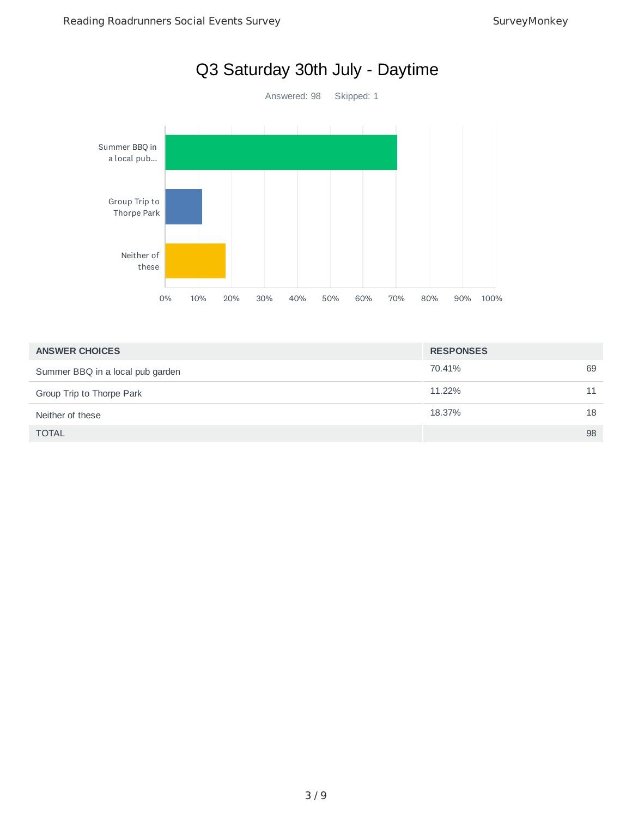

| <b>ANSWER CHOICES</b>            | <b>RESPONSES</b> |    |
|----------------------------------|------------------|----|
| Summer BBQ in a local pub garden | 70.41%           | 69 |
| Group Trip to Thorpe Park        | 11.22%           | 11 |
| Neither of these                 | 18.37%           | 18 |
| <b>TOTAL</b>                     |                  | 98 |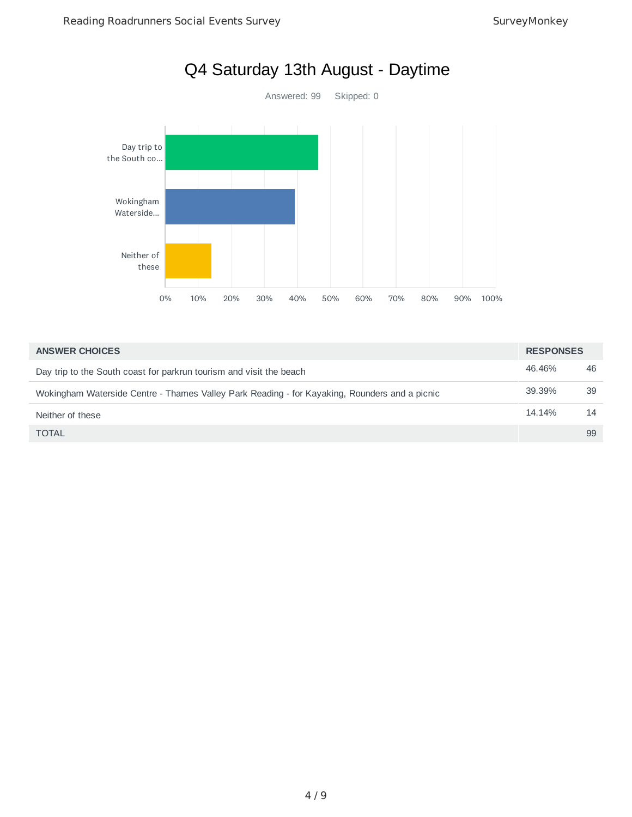

| <b>ANSWER CHOICES</b>                                                                         | <b>RESPONSES</b> |    |
|-----------------------------------------------------------------------------------------------|------------------|----|
| Day trip to the South coast for parkrun tourism and visit the beach                           | 46.46%           | 46 |
| Wokingham Waterside Centre - Thames Valley Park Reading - for Kayaking, Rounders and a picnic | 39.39%           | 39 |
| Neither of these                                                                              | 14.14%           | 14 |
| <b>TOTAL</b>                                                                                  |                  | 99 |

# Q4 Saturday 13th August - Daytime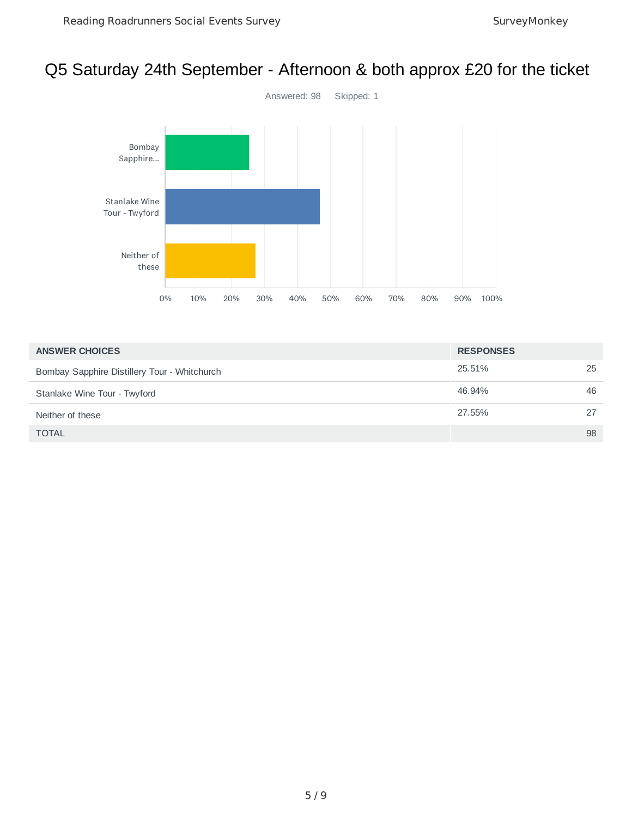# Q5 Saturday 24th September - Afternoon & both approx £20 for the ticket



| <b>ANSWER CHOICES</b>                        | <b>RESPONSES</b> |    |
|----------------------------------------------|------------------|----|
| Bombay Sapphire Distillery Tour - Whitchurch | 25.51%           | 25 |
| Stanlake Wine Tour - Twyford                 | 46.94%           | 46 |
| Neither of these                             | 27.55%           | 27 |
| <b>TOTAL</b>                                 |                  | 98 |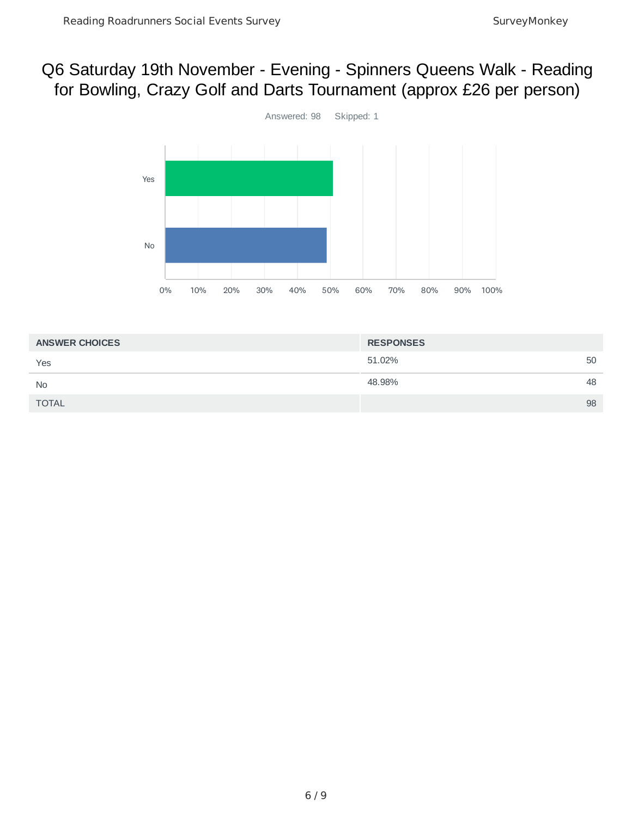## Q6 Saturday 19th November - Evening - Spinners Queens Walk - Reading for Bowling, Crazy Golf and Darts Tournament (approx £26 per person)



| <b>ANSWER CHOICES</b> | <b>RESPONSES</b> |    |
|-----------------------|------------------|----|
| Yes                   | 51.02%           | 50 |
| <b>No</b>             | 48.98%           | 48 |
| <b>TOTAL</b>          |                  | 98 |
|                       |                  |    |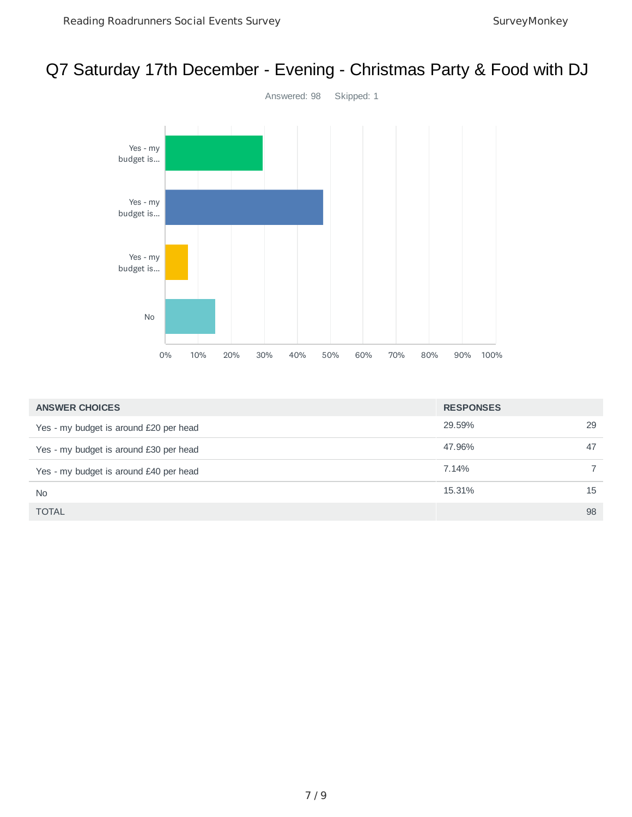#### Q7 Saturday 17th December - Evening - Christmas Party & Food with DJ



| <b>ANSWER CHOICES</b>                  | <b>RESPONSES</b> |    |
|----------------------------------------|------------------|----|
| Yes - my budget is around £20 per head | 29.59%           | 29 |
| Yes - my budget is around £30 per head | 47.96%           | 47 |
| Yes - my budget is around £40 per head | 7.14%            |    |
| <b>No</b>                              | 15.31%           | 15 |
| <b>TOTAL</b>                           |                  | 98 |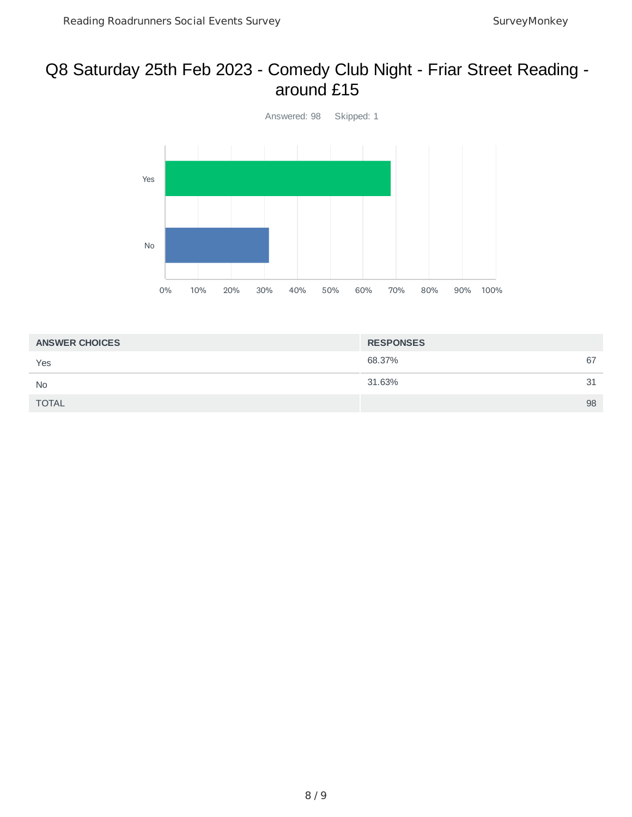#### Q8 Saturday 25th Feb 2023 - Comedy Club Night - Friar Street Reading around £15



| <b>ANSWER CHOICES</b> | <b>RESPONSES</b> |    |
|-----------------------|------------------|----|
| Yes                   | 68.37%           | 67 |
| <b>No</b>             | 31.63%           | 31 |
| <b>TOTAL</b>          |                  | 98 |
|                       |                  |    |